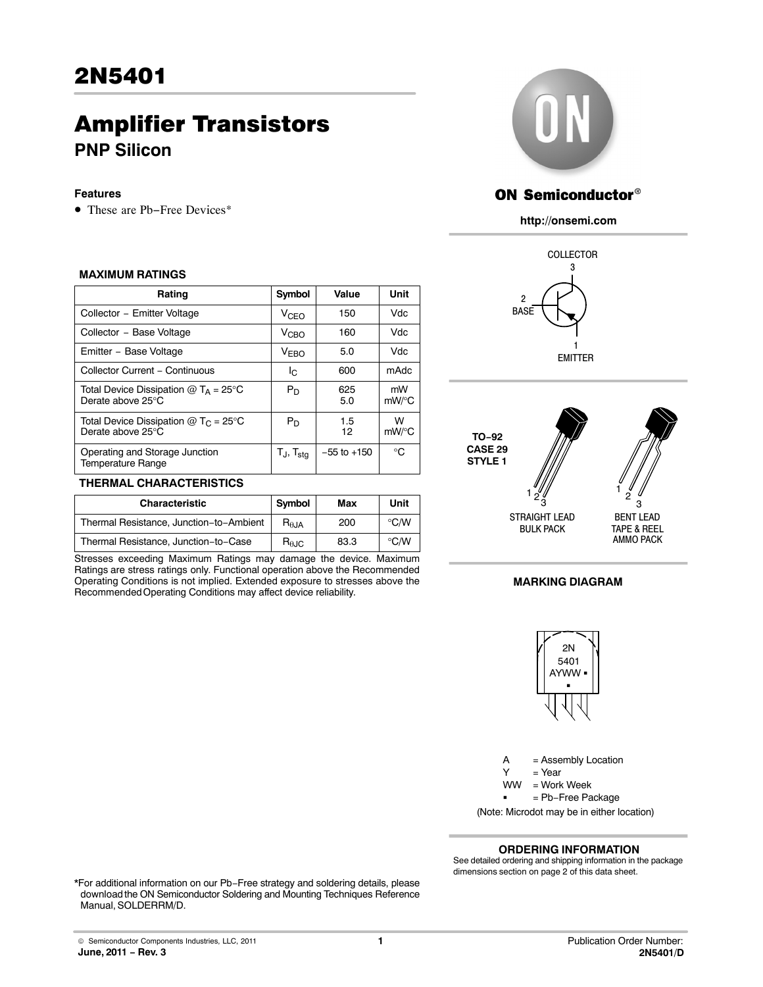# Amplifier Transistors **PNP Silicon**

#### **Features**

• These are Pb−Free Devices\*

#### **MAXIMUM RATINGS**

| Rating                                                            | Symbol                   | Value           | Unit        |
|-------------------------------------------------------------------|--------------------------|-----------------|-------------|
| Collector - Emitter Voltage                                       | V <sub>CEO</sub>         | 150             | Vdc.        |
| Collector - Base Voltage                                          | V <sub>CHO</sub>         | 160             | Vdc         |
| Emitter - Base Voltage                                            | <b>VEBO</b>              | 5.0             | <b>Vdc</b>  |
| Collector Current - Continuous                                    | Ic.                      | 600             | mAdc        |
| Total Device Dissipation $@T_A = 25^\circ C$<br>Derate above 25°C | $P_D$                    | 625<br>5.0      | mW<br>mW/°C |
| Total Device Dissipation $@TC = 25°C$<br>Derate above 25°C        | $P_D$                    | 1.5<br>12       | W<br>mW/°C  |
| Operating and Storage Junction<br><b>Temperature Range</b>        | $T_J$ , $T_{\text{stg}}$ | $-55$ to $+150$ | °C          |

#### **THERMAL CHARACTERISTICS**

| <b>Characteristic</b>                   | Symbol                 | Max  | Unit          |
|-----------------------------------------|------------------------|------|---------------|
| Thermal Resistance, Junction-to-Ambient | $R_{\theta,JA}$        | 200  | °C/W          |
| Thermal Resistance, Junction-to-Case    | $R_{\theta \text{JC}}$ | 83.3 | $\degree$ C/W |

Stresses exceeding Maximum Ratings may damage the device. Maximum Ratings are stress ratings only. Functional operation above the Recommended Operating Conditions is not implied. Extended exposure to stresses above the Recommended Operating Conditions may affect device reliability.



# **ON Semiconductor®**

**http://onsemi.com**





#### **MARKING DIAGRAM**



A = Assembly Location  $Y = Year$ = Work Week ww = Pb−Free Package (Note: Microdot may be in either location)

#### **ORDERING INFORMATION**

See detailed ordering and shipping information in the package dimensions section on page [2](#page-1-0) of this data sheet.

\*For additional information on our Pb−Free strategy and soldering details, please download the ON Semiconductor Soldering and Mounting Techniques Reference Manual, SOLDERRM/D.

© Semiconductor Components Industries, LLC, 2011 **June, 2011 − Rev. 3**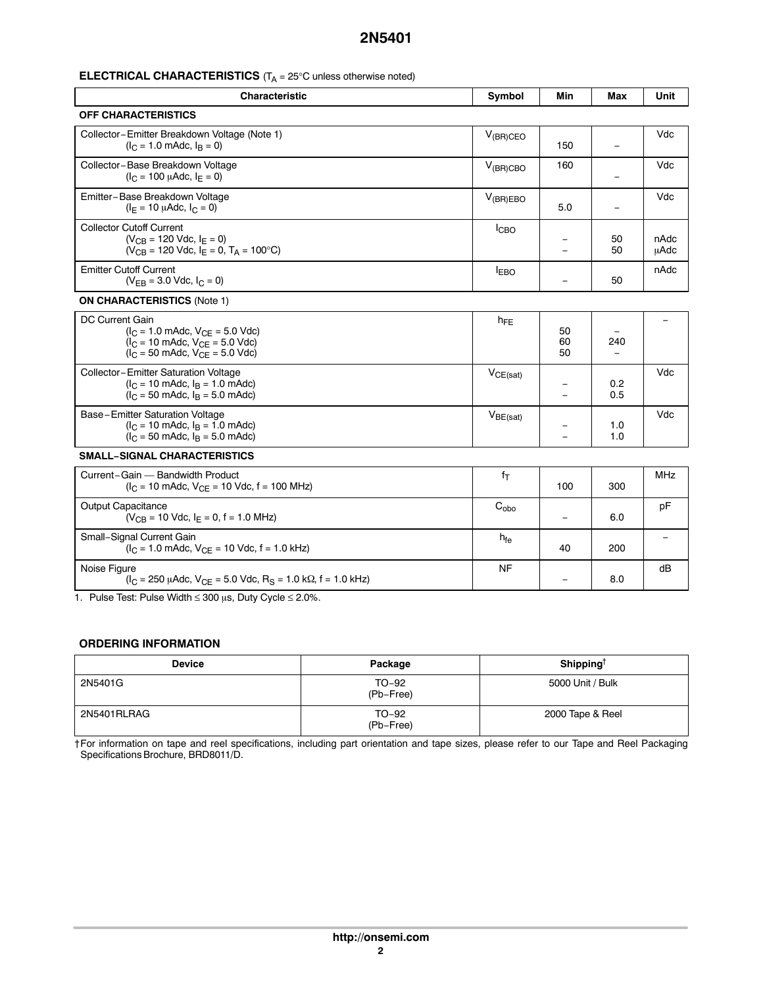#### <span id="page-1-0"></span>**ELECTRICAL CHARACTERISTICS** (T<sub>A</sub> = 25°C unless otherwise noted)

| <b>Characteristic</b>                                                                                                                                                                             | Symbol           | Min                      | Max                             | Unit         |  |
|---------------------------------------------------------------------------------------------------------------------------------------------------------------------------------------------------|------------------|--------------------------|---------------------------------|--------------|--|
| <b>OFF CHARACTERISTICS</b>                                                                                                                                                                        |                  |                          |                                 |              |  |
| Collector-Emitter Breakdown Voltage (Note 1)<br>$(I_C = 1.0 \text{ m}$ Adc, $I_B = 0$ )                                                                                                           | $V_{(BR)CEO}$    | 150                      |                                 | Vdc          |  |
| Collector-Base Breakdown Voltage<br>$(I_C = 100 \mu A d c, I_F = 0)$                                                                                                                              | $V_{(BR)CBO}$    | 160                      |                                 | Vdc          |  |
| Emitter-Base Breakdown Voltage<br>$(I_F = 10 \mu \text{Adc}, I_C = 0)$                                                                                                                            | $V_{(BR)EBO}$    | 5.0                      |                                 | Vdc          |  |
| <b>Collector Cutoff Current</b><br>$(V_{CR} = 120$ Vdc, $I_F = 0$ )<br>$(V_{CB} = 120$ Vdc, $I_F = 0$ , $T_A = 100$ °C)                                                                           | I <sub>CBO</sub> |                          | 50<br>50                        | nAdc<br>μAdc |  |
| <b>Emitter Cutoff Current</b><br>$(V_{FB} = 3.0$ Vdc, $I_C = 0$ )                                                                                                                                 | <b>EBO</b>       | $\equiv$                 | 50                              | nAdc         |  |
| <b>ON CHARACTERISTICS (Note 1)</b>                                                                                                                                                                |                  |                          |                                 |              |  |
| DC Current Gain<br>$(I_C = 1.0 \text{ m}$ Adc, $V_{CE} = 5.0 \text{ V}$ dc)<br>$(I_C = 10 \text{ m}$ Adc, $V_{CE} = 5.0 \text{ V}$ dc)<br>$(I_C = 50 \text{ m}$ Adc, $V_{CF} = 5.0 \text{ V}$ dc) | $h_{FE}$         | 50<br>60<br>50           | 240<br>$\overline{\phantom{m}}$ |              |  |
| Collector-Emitter Saturation Voltage<br>$(I_C = 10 \text{ m}$ Adc, $I_R = 1.0 \text{ m}$ Adc)<br>$(I_C = 50 \text{ m}$ Adc, $I_B = 5.0 \text{ m}$ Adc)                                            | $V_{CE(sat)}$    |                          | 0.2<br>0.5                      | Vdc          |  |
| Base-Emitter Saturation Voltage<br>$(I_C = 10 \text{ m}$ Adc, $I_B = 1.0 \text{ m}$ Adc)<br>$(I_C = 50 \text{ m}$ Adc, $I_B = 5.0 \text{ m}$ Adc)                                                 | $V_{BE(sat)}$    |                          | 1.0<br>1.0                      | Vdc          |  |
| <b>SMALL-SIGNAL CHARACTERISTICS</b>                                                                                                                                                               |                  |                          |                                 |              |  |
| Current-Gain - Bandwidth Product<br>$(I_C = 10 \text{ m}$ Adc, $V_{CE} = 10 \text{ V}$ dc, f = 100 MHz)                                                                                           | $f_T$            | 100                      | 300                             | <b>MHz</b>   |  |
| <b>Output Capacitance</b><br>$(V_{CB} = 10$ Vdc, $I_E = 0$ , f = 1.0 MHz)                                                                                                                         | $C_{\text{obo}}$ | $\overline{\phantom{0}}$ | 6.0                             | pF           |  |
| Small-Signal Current Gain<br>$(I_C = 1.0 \text{ m}$ Adc, $V_{CF} = 10 \text{ V}$ dc, f = 1.0 kHz)                                                                                                 | $h_{\text{fe}}$  | 40                       | 200                             |              |  |

1. Pulse Test: Pulse Width  $\leq 300$   $\mu$ s, Duty Cycle  $\leq 2.0\%$ .

 $(I_C = 250 \mu A$ dc,  $V_{CE} = 5.0 \text{ V}$ dc,  $R_S = 1.0 \text{ k}\Omega$ , f = 1.0 kHz)

#### **ORDERING INFORMATION**

Noise Figure

| <b>Device</b> | Package            | Shipping $^\dagger$ |
|---------------|--------------------|---------------------|
| 2N5401G       | TO-92<br>(Pb-Free) | 5000 Unit / Bulk    |
| 2N5401RLRAG   | TO-92<br>(Pb-Free) | 2000 Tape & Reel    |

NF

− 8.0

dB

†For information on tape and reel specifications, including part orientation and tape sizes, please refer to our Tape and Reel Packaging Specifications Brochure, BRD8011/D.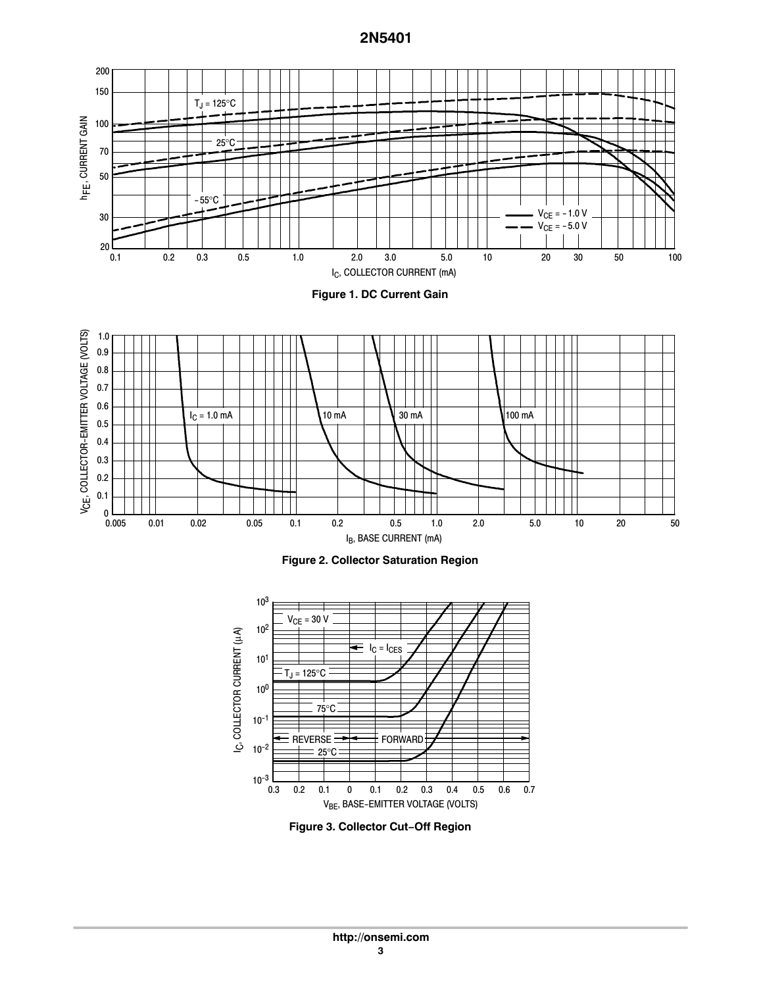





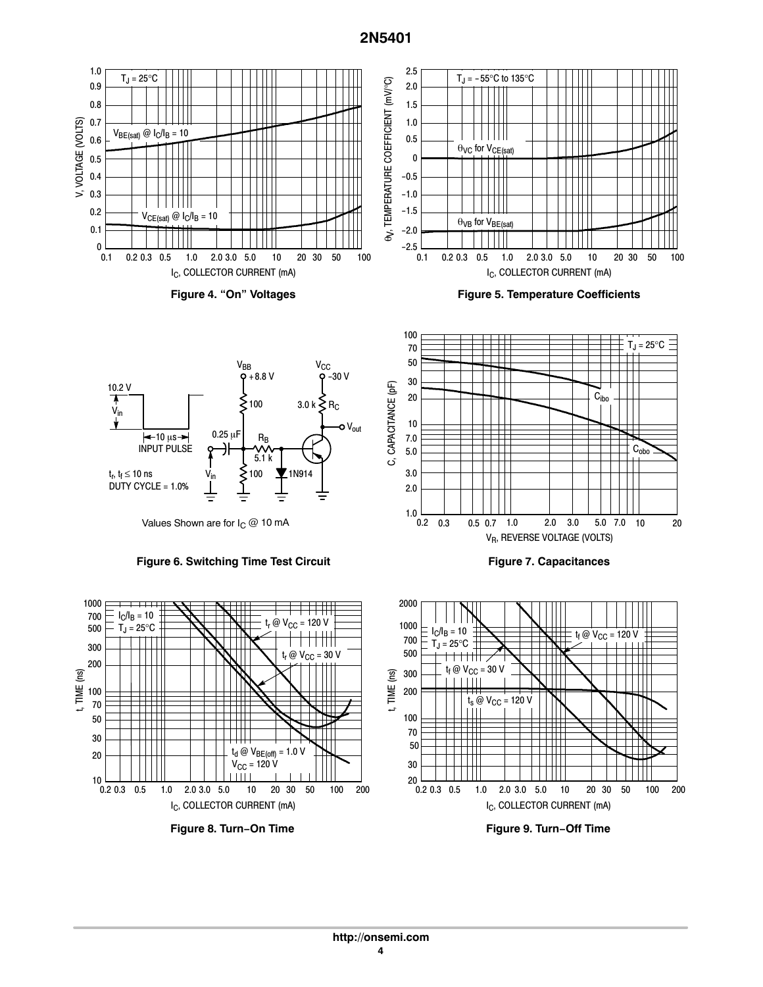